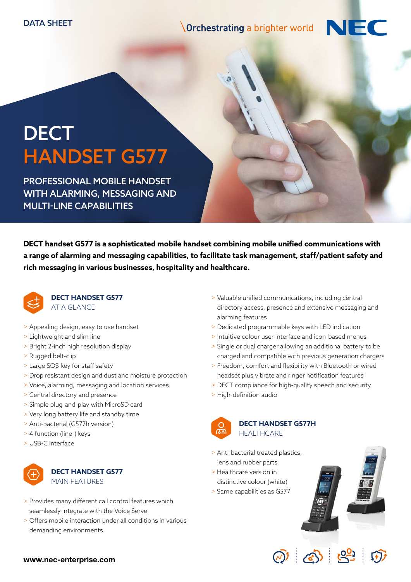## **Orchestrating a brighter world**



# **DECT** HANDSET G577

PROFESSIONAL MOBILE HANDSET WITH ALARMING, MESSAGING AND MULTI-LINE CAPABILITIES

**DECT handset G577 is a sophisticated mobile handset combining mobile unified communications with a range of alarming and messaging capabilities, to facilitate task management, staff/patient safety and rich messaging in various businesses, hospitality and healthcare.**



**DECT HANDSET G577** AT A GLANCE

- > Appealing design, easy to use handset
- > Lightweight and slim line
- > Bright 2-inch high resolution display
- > Rugged belt-clip
- > Large SOS-key for staff safety
- > Drop resistant design and dust and moisture protection
- > Voice, alarming, messaging and location services
- > Central directory and presence
- > Simple plug-and-play with MicroSD card
- > Very long battery life and standby time
- > Anti-bacterial (G577h version)
- > 4 function (line-) keys
- > USB-C interface



> Provides many different call control features which seamlessly integrate with the Voice Serve

> Offers mobile interaction under all conditions in various demanding environments

- > Valuable unified communications, including central directory access, presence and extensive messaging and alarming features
- > Dedicated programmable keys with LED indication
- > Intuitive colour user interface and icon-based menus
- > Single or dual charger allowing an additional battery to be charged and compatible with previous generation chargers
- > Freedom, comfort and flexibility with Bluetooth or wired headset plus vibrate and ringer notification features
- > DECT compliance for high-quality speech and security
- > High-definition audio



## **DECT HANDSET G577H HEALTHCARE**

- > Anti-bacterial treated plastics, lens and rubber parts
- > Healthcare version in distinctive colour (white)
- > Same capabilities as G577





#### www.nec-enterprise.com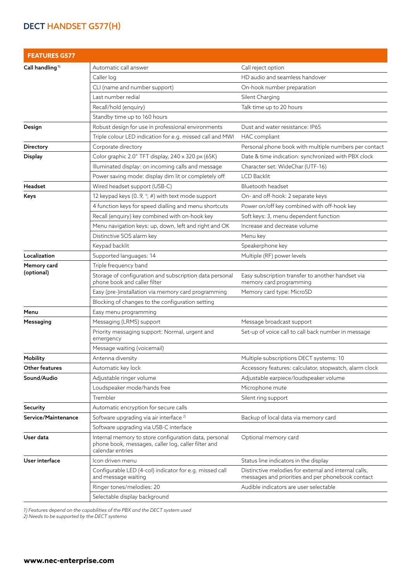## DECT HANDSET G577(H)

| <b>FEATURES G577</b>        |                                                                                                                                  |                                                                                                            |
|-----------------------------|----------------------------------------------------------------------------------------------------------------------------------|------------------------------------------------------------------------------------------------------------|
| Call handling <sup>1)</sup> | Automatic call answer                                                                                                            | Call reject option                                                                                         |
|                             | Caller log                                                                                                                       | HD audio and seamless handover                                                                             |
|                             | CLI (name and number support)                                                                                                    | On-hook number preparation                                                                                 |
|                             | Last number redial                                                                                                               | Silent Charging                                                                                            |
|                             | Recall/hold (enquiry)                                                                                                            | Talk time up to 20 hours                                                                                   |
|                             | Standby time up to 160 hours                                                                                                     |                                                                                                            |
| Design                      | Robust design for use in professional environments                                                                               | Dust and water resistance: IP65                                                                            |
|                             | Triple colour LED indication for e.g. missed call and MWI                                                                        | HAC compliant                                                                                              |
| Directory                   | Corporate directory                                                                                                              | Personal phone book with multiple numbers per contact                                                      |
| <b>Display</b>              | Color graphic 2.0" TFT display, 240 x 320 px (65K)                                                                               | Date & time indication: synchronized with PBX clock                                                        |
|                             | Illuminated display: on incoming calls and message                                                                               | Character set: WideChar (UTF-16)                                                                           |
|                             | Power saving mode: display dim lit or completely off                                                                             | <b>LCD Backlit</b>                                                                                         |
| Headset                     | Wired headset support (USB-C)                                                                                                    | Bluetooth headset                                                                                          |
| Keys                        | 12 keypad keys (09, $*$ , #) with text mode support                                                                              | On- and off-hook: 2 separate keys                                                                          |
|                             | 4 function keys for speed dialling and menu shortcuts                                                                            | Power on/off key combined with off-hook key                                                                |
|                             | Recall (enquiry) key combined with on-hook key                                                                                   | Soft keys: 3, menu dependent function                                                                      |
|                             | Menu navigation keys: up, down, left and right and OK                                                                            | Increase and decrease volume                                                                               |
|                             | Distinctive SOS alarm key                                                                                                        | Menu key                                                                                                   |
|                             | Keypad backlit                                                                                                                   | Speakerphone key                                                                                           |
| Localization                | Supported languages: 14                                                                                                          | Multiple (RF) power levels                                                                                 |
| Memory card                 | Triple frequency band                                                                                                            |                                                                                                            |
| (optional)                  | Storage of configuration and subscription data personal<br>phone book and caller filter                                          | Easy subscription transfer to another handset via<br>memory card programming                               |
|                             | Easy (pre-)installation via memory card programming                                                                              | Memory card type: MicroSD                                                                                  |
|                             | Blocking of changes to the configuration setting                                                                                 |                                                                                                            |
| Menu                        | Easy menu programming                                                                                                            |                                                                                                            |
| Messaging                   | Messaging (LRMS) support                                                                                                         | Message broadcast support                                                                                  |
|                             | Priority messaging support: Normal, urgent and<br>emergency                                                                      | Set-up of voice call to call back number in message                                                        |
|                             | Message waiting (voicemail)                                                                                                      |                                                                                                            |
| Mobility                    | Antenna diversity                                                                                                                | Multiple subscriptions DECT systems: 10                                                                    |
| Other features              | Automatic key lock                                                                                                               | Accessory features: calculator, stopwatch, alarm clock                                                     |
| Sound/Audio                 | Adjustable ringer volume                                                                                                         | Adjustable earpiece/loudspeaker volume                                                                     |
|                             | Loudspeaker mode/hands free                                                                                                      | Microphone mute                                                                                            |
|                             | Trembler                                                                                                                         | Silent ring support                                                                                        |
| Security                    | Automatic encryption for secure calls                                                                                            |                                                                                                            |
| Service/Maintenance         | Software upgrading via air interface <sup>2)</sup>                                                                               | Backup of local data via memory card                                                                       |
|                             | Software upgrading via USB-C interface                                                                                           |                                                                                                            |
| User data                   | Internal memory to store configuration data, personal<br>phone book, messages, caller log, caller filter and<br>calendar entries | Optional memory card                                                                                       |
| User interface              | Icon driven menu                                                                                                                 | Status line indicators in the display                                                                      |
|                             | Configurable LED (4-col) indicator for e.g. missed call<br>and message waiting                                                   | Distinctive melodies for external and internal calls,<br>messages and priorities and per phonebook contact |
|                             | Ringer tones/melodies: 20                                                                                                        | Audible indicators are user selectable                                                                     |
|                             | Selectable display background                                                                                                    |                                                                                                            |

*1) Features depend on the capabilities of the PBX and the DECT system used*

*2) Needs to be supported by the DECT systema*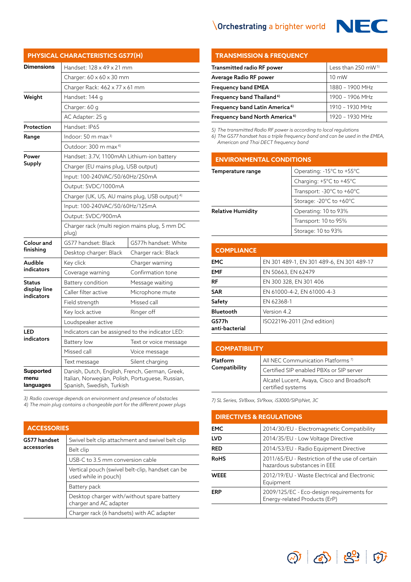## **Orchestrating** a brighter world



|                                | PHYSICAL CHARACTERISTICS G577(H)                                                                                                |                                |
|--------------------------------|---------------------------------------------------------------------------------------------------------------------------------|--------------------------------|
| <b>Dimensions</b>              | Handset: 128 x 49 x 21 mm                                                                                                       |                                |
|                                | Charger: 60 x 60 x 30 mm                                                                                                        |                                |
|                                |                                                                                                                                 | Charger Rack: 462 x 77 x 61 mm |
| Weight                         | Handset: 144 g                                                                                                                  |                                |
|                                | Charger: 60 g                                                                                                                   |                                |
|                                | AC Adapter: 25 g                                                                                                                |                                |
| Protection                     | Handset: IP65                                                                                                                   |                                |
| Range                          | Indoor: 50 m max $3)$                                                                                                           |                                |
|                                | Outdoor: 300 m max <sup>4)</sup>                                                                                                |                                |
| Power                          | Handset: 3.7V, 1100mAh Lithium-ion battery                                                                                      |                                |
| Supply                         | Charger (EU mains plug, USB output)                                                                                             |                                |
|                                | Input: 100-240VAC/50/60Hz/250mA                                                                                                 |                                |
|                                | Output: 5VDC/1000mA                                                                                                             |                                |
|                                | Charger (UK, US, AU mains plug, USB output) <sup>4)</sup>                                                                       |                                |
|                                | Input: 100-240VAC/50/60Hz/125mA                                                                                                 |                                |
|                                | Output: 5VDC/900mA                                                                                                              |                                |
|                                | Charger rack (multi region mains plug, 5 mm DC<br>plug)                                                                         |                                |
| Colour and                     | G577 handset: Black                                                                                                             | G577h handset: White           |
| finishing                      | Desktop charger: Black                                                                                                          | Charger rack: Black            |
| Audible                        | Key click                                                                                                                       | Charger warning                |
| indicators                     | Coverage warning                                                                                                                | Confirmation tone              |
| Status                         | Battery condition                                                                                                               | Message waiting                |
| display line<br>indicators     | Caller filter active                                                                                                            | Microphone mute                |
|                                | Field strength                                                                                                                  | Missed call                    |
|                                | Key lock active                                                                                                                 | Ringer off                     |
|                                | Loudspeaker active                                                                                                              |                                |
| LED                            | Indicators can be assigned to the indicator LED:                                                                                |                                |
| indicators                     | Battery low                                                                                                                     | Text or voice message          |
|                                | Missed call                                                                                                                     | Voice message                  |
|                                | Text message                                                                                                                    | Silent charging                |
| Supported<br>menu<br>languages | Danish, Dutch, English, French, German, Greek,<br>Italian, Norwegian, Polish, Portuguese, Russian,<br>Spanish, Swedish, Turkish |                                |

*3) Radio coverage depends on environment and presence of obstacles 4) The main plug contains a changeable part for the different power plugs*

| <b>ACCESSORIES</b>          |                                                                          |
|-----------------------------|--------------------------------------------------------------------------|
| G577 handset<br>accessories | Swivel belt clip attachment and swivel belt clip                         |
|                             | Belt clip                                                                |
|                             | USB-C to 3.5 mm conversion cable                                         |
|                             | Vertical pouch (swivel belt-clip, handset can be<br>used while in pouch) |
|                             | Battery pack                                                             |
|                             | Desktop charger with/without spare battery<br>charger and AC adapter     |
|                             | Charger rack (6 handsets) with AC adapter                                |

| <b>TRANSMISSION &amp; FREQUENCY</b>                            |                 |  |
|----------------------------------------------------------------|-----------------|--|
| Less than $250$ mW <sup>5)</sup><br>Transmitted radio RF power |                 |  |
| Average Radio RF power                                         | $10 \text{ mW}$ |  |
| <b>Frequency band EMEA</b>                                     | 1880 - 1900 MHz |  |
| Frequency band Thailand <sup>6)</sup>                          | 1900 - 1906 MHz |  |
| Frequency band Latin America <sup>6)</sup>                     | 1910 - 1930 MHz |  |
| Frequency band North America <sup>6)</sup>                     | 1920 - 1930 MHz |  |

*5) The transmitted Radio RF power is according to local regulations*

*6) The G577 handset has a triple frequency band and can be used in the EMEA, American and Thai DECT frequency band*

| <b>ENVIRONMENTAL CONDITIONS</b> |                                               |
|---------------------------------|-----------------------------------------------|
| Temperature range               | Operating: -15°C to +55°C                     |
|                                 | Charging: $+5^{\circ}$ C to $+45^{\circ}$ C   |
|                                 | Transport: $-30^{\circ}$ C to $+60^{\circ}$ C |
|                                 | Storage: -20°C to +60°C                       |
| <b>Relative Humidity</b>        | Operating: 10 to 93%                          |
|                                 | Transport: 10 to 95%                          |
|                                 | Storage: 10 to 93%                            |

| <b>COMPLIANCE</b>       |                                           |
|-------------------------|-------------------------------------------|
| EMC                     | EN 301 489-1, EN 301 489-6, EN 301 489-17 |
| <b>EMF</b>              | EN 50663, EN 62479                        |
| RF                      | EN 300 328, EN 301 406                    |
| <b>SAR</b>              | EN 61000-4-2, EN 61000-4-3                |
| Safety                  | EN 62368-1                                |
| Bluetooth               | Version 4.2                               |
| G577h<br>anti-bacterial | ISO22196-2011 (2nd edition)               |

| <b>COMPATIBILITY</b> |                                                                 |
|----------------------|-----------------------------------------------------------------|
| <b>Platform</b>      | All NEC Communication Platforms <sup>7)</sup>                   |
| Compatibility        | Certified SIP enabled PBXs or SIP server                        |
|                      | Alcatel Lucent, Avaya, Cisco and Broadsoft<br>certified systems |

*7) SL Series, SV8xxx, SV9xxx, iS3000/SIP@Net, 3C*

| <b>DIRECTIVES &amp; REGULATIONS</b> |                                                                               |  |
|-------------------------------------|-------------------------------------------------------------------------------|--|
| <b>EMC</b>                          | 2014/30/EU - Electromagnetic Compatibility                                    |  |
| <b>LVD</b>                          | 2014/35/EU - Low Voltage Directive                                            |  |
| <b>RED</b>                          | 2014/53/EU - Radio Equipment Directive                                        |  |
| <b>RoHS</b>                         | 2011/65/EU - Restriction of the use of certain<br>hazardous substances in FFF |  |
| <b>WEEE</b>                         | 2012/19/EU - Waste Electrical and Electronic<br>Equipment                     |  |
| ERP                                 | 2009/125/EC - Eco-design requirements for<br>Energy-related Products (ErP)    |  |